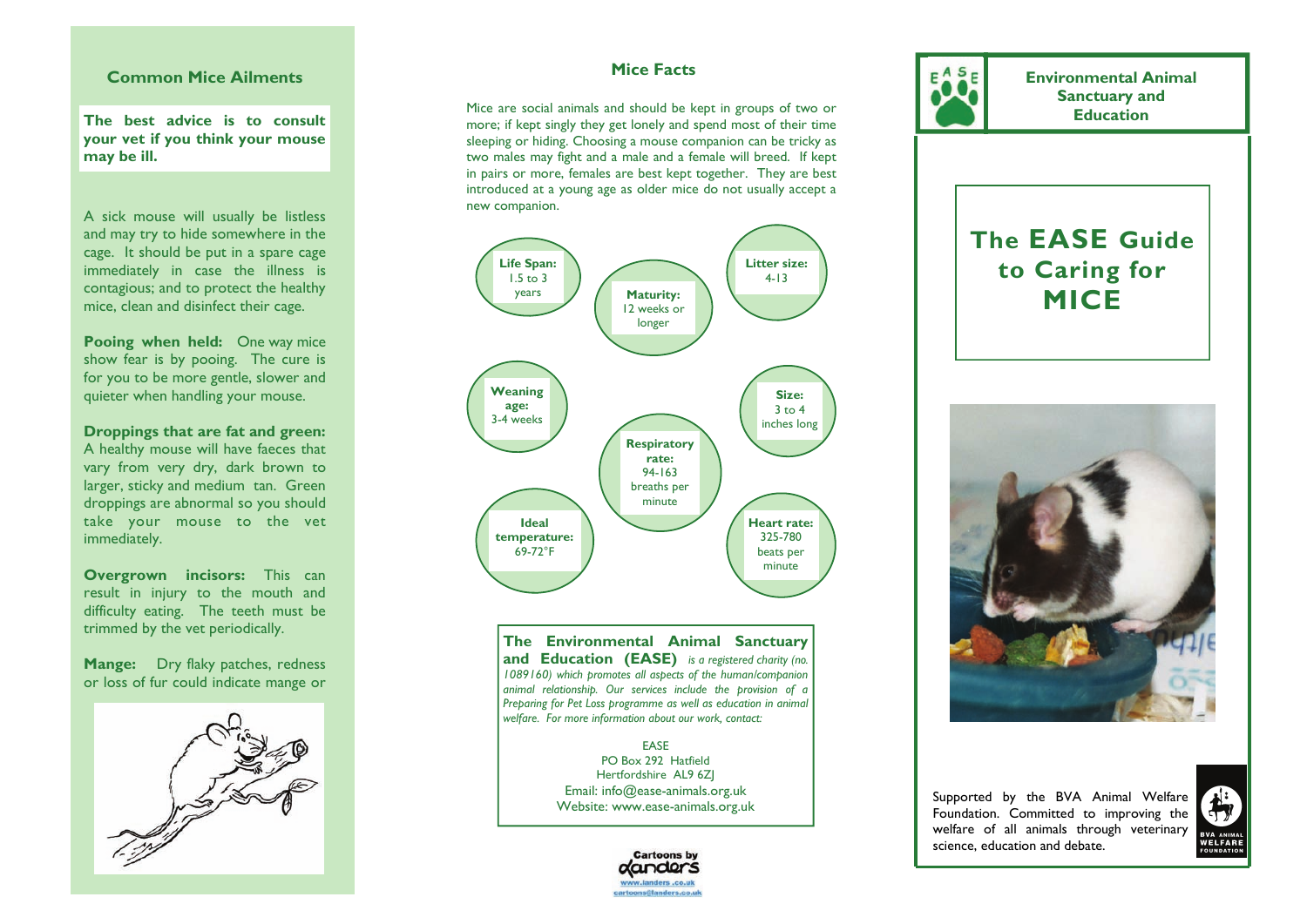#### **Common Mice Ailments**

**The best advice is to consult your vet if you think your mouse may be ill.** 

A sick mouse will usually be listless and may try to hide somewhere in the cage. It should be put in a spare cage immediately in case the illness is contagious; and to protect the healthy mice, clean and disinfect their cage.

**Pooing when held:** One way mice show fear is by pooing. The cure is for you to be more gentle, slower and quieter when handling your mouse.

**Droppings that are fat and green:**  A healthy mouse will have faeces that vary from very dry, dark brown to larger, sticky and medium tan. Green droppings are abnormal so you should take your mouse to the vet immediately.

**Overgrown incisors:** This can result in injury to the mouth and difficulty eating. The teeth must be trimmed by the vet periodically.

**Mange:** Dry flaky patches, redness or loss of fur could indicate mange or



#### **Mice Facts**

Mice are social animals and should be kept in groups of two or more; if kept singly they get lonely and spend most of their time sleeping or hiding. Choosing a mouse companion can be tricky as two males may fight and a male and a female will breed. If kept in pairs or more, females are best kept together. They are best introduced at a young age as older mice do not usually accept a new companion.



**The Environmental Animal Sanctuary and Education (EASE)** *is a registered charity (no. 1089160) which promotes all aspects of the human/companion animal relationship. Our services include the provision of a Preparing for Pet Loss programme as well as education in animal welfare. For more information about our work, contact:* 

> EASE PO Box 292 Hatfield Hertfordshire AL9 6ZJ Email: info@ease-animals.org.uk Website: www.ease-animals.org.uk



**Environmental Animal Sanctuary and Education** 

# **The EASE Guide to Caring for MICE**



Supported by the BVA Animal Welfare Foundation. Committed to improving the welfare of all animals through veterinary science, education and debate.